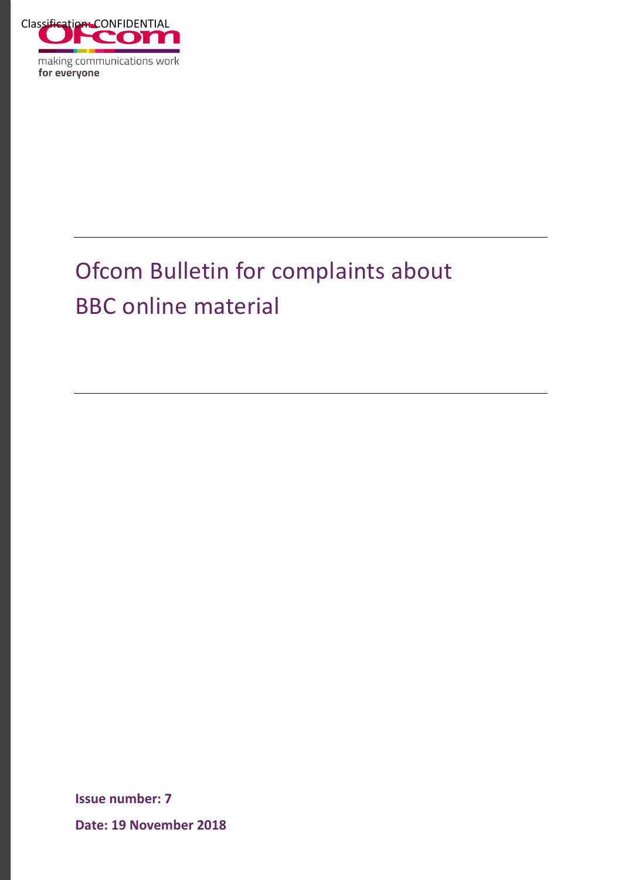

making communications work for everyone

# Ofcom Bulletin for complaints about BBC online material

**Issue number: 7**

**Date: 19 November 2018**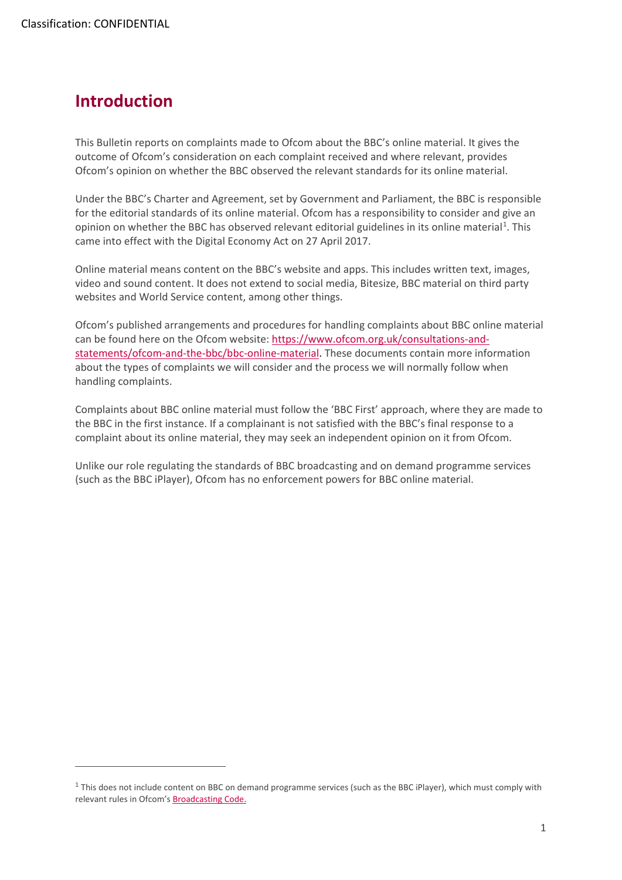<u>.</u>

## **Introduction**

This Bulletin reports on complaints made to Ofcom about the BBC's online material. It gives the outcome of Ofcom's consideration on each complaint received and where relevant, provides Ofcom's opinion on whether the BBC observed the relevant standards for its online material.

Under the BBC's Charter and Agreement, set by Government and Parliament, the BBC is responsible for the editorial standards of its online material. Ofcom has a responsibility to consider and give an opinion on whether the BBC has observed relevant editorial guidelines in its online material<sup>[1](#page-1-0)</sup>. This came into effect with the Digital Economy Act on 27 April 2017.

Online material means content on the BBC's website and apps. This includes written text, images, video and sound content. It does not extend to social media, Bitesize, BBC material on third party websites and World Service content, among other things.

Ofcom's published arrangements and procedures for handling complaints about BBC online material can be found here on the Ofcom website: [https://www.ofcom.org.uk/consultations-and](https://www.ofcom.org.uk/consultations-and-statements/ofcom-and-the-bbc/bbc-online-material)[statements/ofcom-and-the-bbc/bbc-online-material.](https://www.ofcom.org.uk/consultations-and-statements/ofcom-and-the-bbc/bbc-online-material) These documents contain more information about the types of complaints we will consider and the process we will normally follow when handling complaints.

Complaints about BBC online material must follow the 'BBC First' approach, where they are made to the BBC in the first instance. If a complainant is not satisfied with the BBC's final response to a complaint about its online material, they may seek an independent opinion on it from Ofcom.

Unlike our role regulating the standards of BBC broadcasting and on demand programme services (such as the BBC iPlayer), Ofcom has no enforcement powers for BBC online material.

<span id="page-1-0"></span> $1$  This does not include content on BBC on demand programme services (such as the BBC iPlayer), which must comply with relevant rules in Ofcom'[s Broadcasting Code.](https://www.ofcom.org.uk/tv-radio-and-on-demand/broadcast-codes/broadcast-code)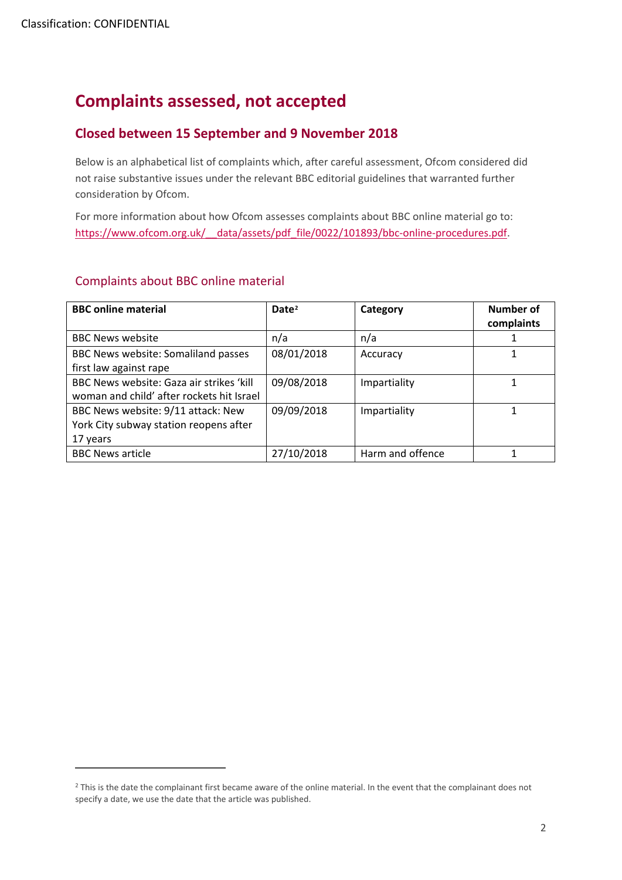$\overline{a}$ 

# **Complaints assessed, not accepted**

### **Closed between 15 September and 9 November 2018**

Below is an alphabetical list of complaints which, after careful assessment, Ofcom considered did not raise substantive issues under the relevant BBC editorial guidelines that warranted further consideration by Ofcom.

For more information about how Ofcom assesses complaints about BBC online material go to: https://www.ofcom.org.uk/ data/assets/pdf file/0022/101893/bbc-online-procedures.pdf.

#### Complaints about BBC online material

| <b>BBC online material</b>                | Date <sup>2</sup> | Category         | Number of  |
|-------------------------------------------|-------------------|------------------|------------|
|                                           |                   |                  | complaints |
| <b>BBC News website</b>                   | n/a               | n/a              |            |
| BBC News website: Somaliland passes       | 08/01/2018        | Accuracy         |            |
| first law against rape                    |                   |                  |            |
| BBC News website: Gaza air strikes 'kill  | 09/08/2018        | Impartiality     |            |
| woman and child' after rockets hit Israel |                   |                  |            |
| BBC News website: 9/11 attack: New        | 09/09/2018        | Impartiality     |            |
| York City subway station reopens after    |                   |                  |            |
| 17 years                                  |                   |                  |            |
| <b>BBC News article</b>                   | 27/10/2018        | Harm and offence |            |

<span id="page-2-0"></span><sup>&</sup>lt;sup>2</sup> This is the date the complainant first became aware of the online material. In the event that the complainant does not specify a date, we use the date that the article was published.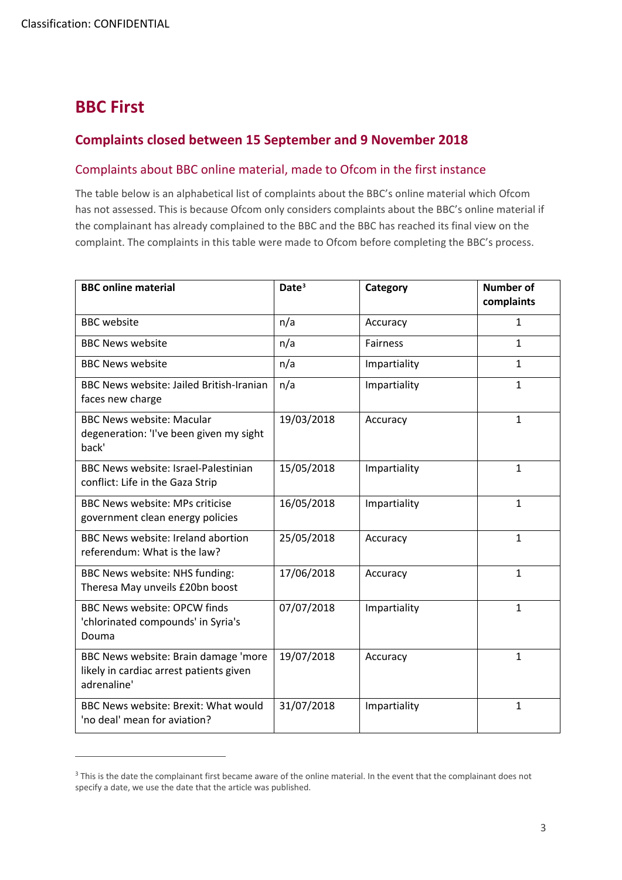# **BBC First**

 $\overline{a}$ 

## **Complaints closed between 15 September and 9 November 2018**

#### Complaints about BBC online material, made to Ofcom in the first instance

The table below is an alphabetical list of complaints about the BBC's online material which Ofcom has not assessed. This is because Ofcom only considers complaints about the BBC's online material if the complainant has already complained to the BBC and the BBC has reached its final view on the complaint. The complaints in this table were made to Ofcom before completing the BBC's process.

| <b>BBC online material</b>                                                                     | Date <sup>3</sup> | Category        | <b>Number of</b><br>complaints |
|------------------------------------------------------------------------------------------------|-------------------|-----------------|--------------------------------|
| <b>BBC</b> website                                                                             | n/a               | Accuracy        | $\mathbf{1}$                   |
| <b>BBC News website</b>                                                                        | n/a               | <b>Fairness</b> | $\mathbf{1}$                   |
| <b>BBC News website</b>                                                                        | n/a               | Impartiality    | $\mathbf{1}$                   |
| <b>BBC News website: Jailed British-Iranian</b><br>faces new charge                            | n/a               | Impartiality    | $\mathbf{1}$                   |
| <b>BBC News website: Macular</b><br>degeneration: 'I've been given my sight<br>back'           | 19/03/2018        | Accuracy        | $\mathbf{1}$                   |
| <b>BBC News website: Israel-Palestinian</b><br>conflict: Life in the Gaza Strip                | 15/05/2018        | Impartiality    | $\mathbf{1}$                   |
| <b>BBC News website: MPs criticise</b><br>government clean energy policies                     | 16/05/2018        | Impartiality    | $\mathbf{1}$                   |
| <b>BBC News website: Ireland abortion</b><br>referendum: What is the law?                      | 25/05/2018        | Accuracy        | $\mathbf{1}$                   |
| BBC News website: NHS funding:<br>Theresa May unveils £20bn boost                              | 17/06/2018        | Accuracy        | $\mathbf{1}$                   |
| <b>BBC News website: OPCW finds</b><br>'chlorinated compounds' in Syria's<br>Douma             | 07/07/2018        | Impartiality    | $\mathbf{1}$                   |
| BBC News website: Brain damage 'more<br>likely in cardiac arrest patients given<br>adrenaline' | 19/07/2018        | Accuracy        | $\mathbf{1}$                   |
| BBC News website: Brexit: What would<br>'no deal' mean for aviation?                           | 31/07/2018        | Impartiality    | $\mathbf{1}$                   |

<span id="page-3-0"></span><sup>&</sup>lt;sup>3</sup> This is the date the complainant first became aware of the online material. In the event that the complainant does not specify a date, we use the date that the article was published.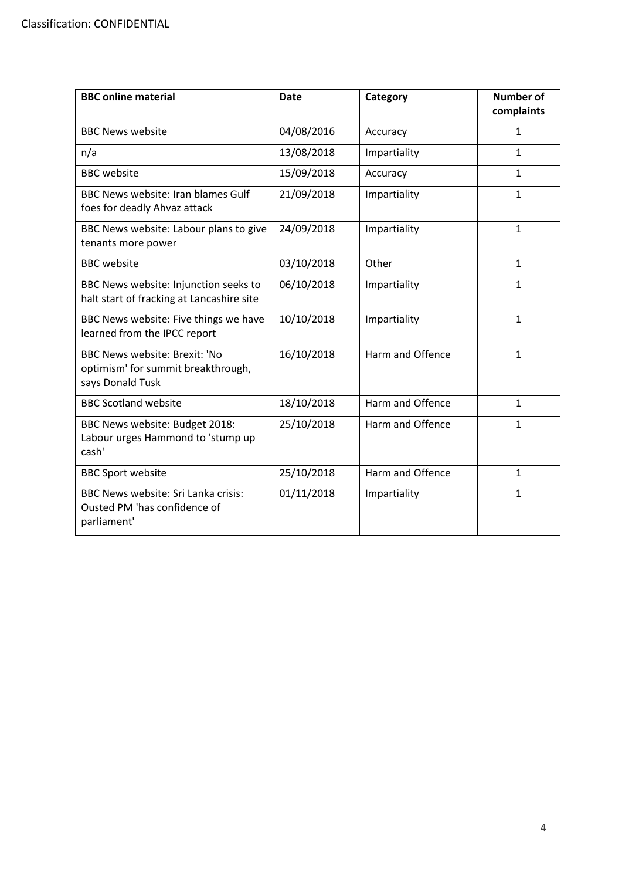| <b>BBC</b> online material                                                                     | <b>Date</b> | Category         | <b>Number of</b><br>complaints |
|------------------------------------------------------------------------------------------------|-------------|------------------|--------------------------------|
| <b>BBC News website</b>                                                                        | 04/08/2016  | Accuracy         | $\mathbf{1}$                   |
| n/a                                                                                            | 13/08/2018  | Impartiality     | $\mathbf{1}$                   |
| <b>BBC</b> website                                                                             | 15/09/2018  | Accuracy         | $\mathbf{1}$                   |
| <b>BBC News website: Iran blames Gulf</b><br>foes for deadly Ahvaz attack                      | 21/09/2018  | Impartiality     | $\mathbf{1}$                   |
| BBC News website: Labour plans to give<br>tenants more power                                   | 24/09/2018  | Impartiality     | $\mathbf{1}$                   |
| <b>BBC</b> website                                                                             | 03/10/2018  | Other            | $\mathbf{1}$                   |
| BBC News website: Injunction seeks to<br>halt start of fracking at Lancashire site             | 06/10/2018  | Impartiality     | $\mathbf{1}$                   |
| BBC News website: Five things we have<br>learned from the IPCC report                          | 10/10/2018  | Impartiality     | $\mathbf{1}$                   |
| <b>BBC News website: Brexit: 'No</b><br>optimism' for summit breakthrough,<br>says Donald Tusk | 16/10/2018  | Harm and Offence | $\mathbf{1}$                   |
| <b>BBC Scotland website</b>                                                                    | 18/10/2018  | Harm and Offence | $\mathbf{1}$                   |
| BBC News website: Budget 2018:<br>Labour urges Hammond to 'stump up<br>cash'                   | 25/10/2018  | Harm and Offence | $\mathbf{1}$                   |
| <b>BBC Sport website</b>                                                                       | 25/10/2018  | Harm and Offence | $\mathbf{1}$                   |
| BBC News website: Sri Lanka crisis:<br>Ousted PM 'has confidence of<br>parliament'             | 01/11/2018  | Impartiality     | $\mathbf{1}$                   |